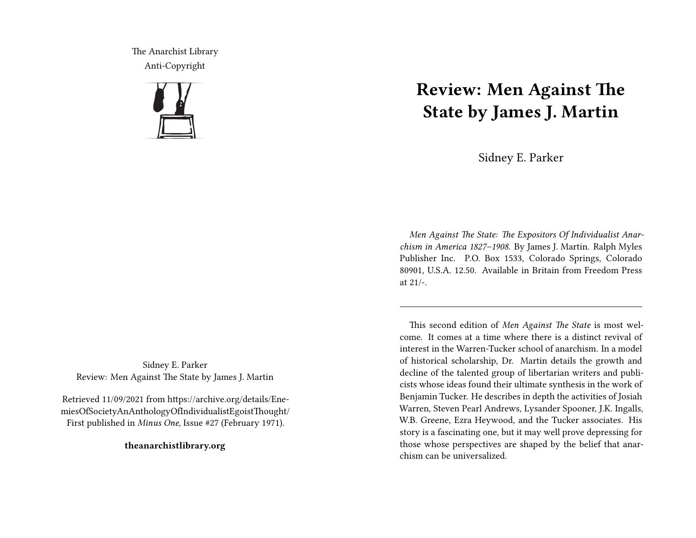The Anarchist Library Anti-Copyright



Sidney E. Parker Review: Men Against The State by James J. Martin

Retrieved 11/09/2021 from https://archive.org/details/EnemiesOfSocietyAnAnthologyOfIndividualistEgoistThought/ First published in *Minus One*, Issue #27 (February 1971).

**theanarchistlibrary.org**

## **Review: Men Against The State by James J. Martin**

Sidney E. Parker

*Men Against The State: The Expositors Of Individualist Anarchism in America 1827–1908*. By James J. Martin. Ralph Myles Publisher Inc. P.O. Box 1533, Colorado Springs, Colorado 80901, U.S.A. 12.50. Available in Britain from Freedom Press at 21/-.

This second edition of *Men Against The State* is most welcome. It comes at a time where there is a distinct revival of interest in the Warren-Tucker school of anarchism. In a model of historical scholarship, Dr. Martin details the growth and decline of the talented group of libertarian writers and publicists whose ideas found their ultimate synthesis in the work of Benjamin Tucker. He describes in depth the activities of Josiah Warren, Steven Pearl Andrews, Lysander Spooner, J.K. Ingalls, W.B. Greene, Ezra Heywood, and the Tucker associates. His story is a fascinating one, but it may well prove depressing for those whose perspectives are shaped by the belief that anarchism can be universalized.